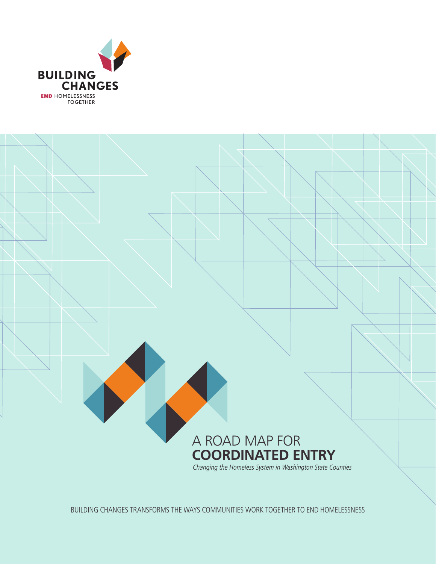



Changing the Homeless System in Washington State Counties

BUILDING CHANGES TRANSFORMS THE WAYS COMMUNITIES WORK TOGETHER TO END HOMELESSNESS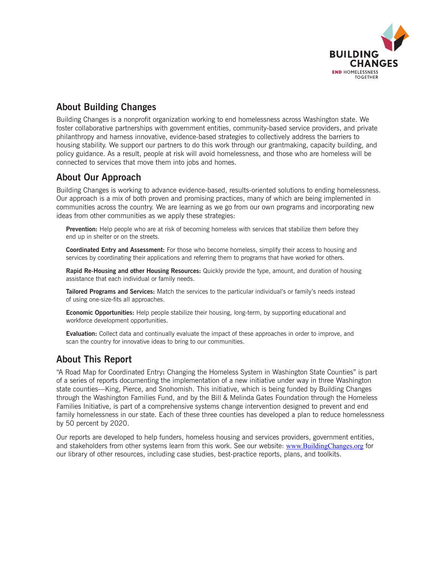

### **About Building Changes**

Building Changes is a nonprofit organization working to end homelessness across Washington state. We foster collaborative partnerships with government entities, community-based service providers, and private philanthropy and harness innovative, evidence-based strategies to collectively address the barriers to housing stability. We support our partners to do this work through our grantmaking, capacity building, and policy guidance. As a result, people at risk will avoid homelessness, and those who are homeless will be connected to services that move them into jobs and homes.

### **About Our Approach**

Building Changes is working to advance evidence-based, results-oriented solutions to ending homelessness. Our approach is a mix of both proven and promising practices, many of which are being implemented in communities across the country. We are learning as we go from our own programs and incorporating new ideas from other communities as we apply these strategies:

**Prevention:** Help people who are at risk of becoming homeless with services that stabilize them before they end up in shelter or on the streets.

**Coordinated Entry and Assessment:** For those who become homeless, simplify their access to housing and services by coordinating their applications and referring them to programs that have worked for others.

**Rapid Re-Housing and other Housing Resources:** Quickly provide the type, amount, and duration of housing assistance that each individual or family needs.

**Tailored Programs and Services:** Match the services to the particular individual's or family's needs instead of using one-size-fits all approaches.

**Economic Opportunities:** Help people stabilize their housing, long-term, by supporting educational and workforce development opportunities.

**Evaluation:** Collect data and continually evaluate the impact of these approaches in order to improve, and scan the country for innovative ideas to bring to our communities.

### **About This Report**

"A Road Map for Coordinated Entry**:** Changing the Homeless System in Washington State Counties" is part of a series of reports documenting the implementation of a new initiative under way in three Washington state counties—King, Pierce, and Snohomish. This initiative, which is being funded by Building Changes through the Washington Families Fund, and by the Bill & Melinda Gates Foundation through the Homeless Families Initiative, is part of a comprehensive systems change intervention designed to prevent and end family homelessness in our state. Each of these three counties has developed a plan to reduce homelessness by 50 percent by 2020.

Our reports are developed to help funders, homeless housing and services providers, government entities, and stakeholders from other systems learn from this work. See our website: www.BuildingChanges.org for our library of other resources, including case studies, best-practice reports, plans, and toolkits.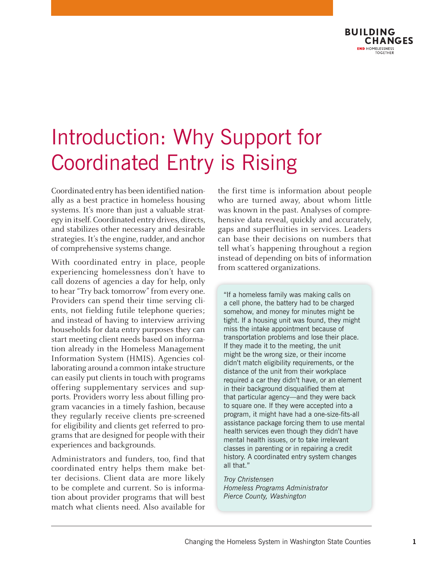

# Introduction: Why Support for Coordinated Entry is Rising

Coordinated entry has been identified nationally as a best practice in homeless housing systems. It's more than just a valuable strategy in itself. Coordinated entry drives, directs, and stabilizes other necessary and desirable strategies. It's the engine, rudder, and anchor of comprehensive systems change.

With coordinated entry in place, people experiencing homelessness don't have to call dozens of agencies a day for help, only to hear "Try back tomorrow" from every one. Providers can spend their time serving clients, not fielding futile telephone queries; and instead of having to interview arriving households for data entry purposes they can start meeting client needs based on information already in the Homeless Management Information System (HMIS). Agencies collaborating around a common intake structure can easily put clients in touch with programs offering supplementary services and supports. Providers worry less about filling program vacancies in a timely fashion, because they regularly receive clients pre-screened for eligibility and clients get referred to programs that are designed for people with their experiences and backgrounds.

Administrators and funders, too, find that coordinated entry helps them make better decisions. Client data are more likely to be complete and current. So is information about provider programs that will best match what clients need. Also available for the first time is information about people who are turned away, about whom little was known in the past. Analyses of comprehensive data reveal, quickly and accurately, gaps and superfluities in services. Leaders can base their decisions on numbers that tell what's happening throughout a region instead of depending on bits of information from scattered organizations.

"If a homeless family was making calls on a cell phone, the battery had to be charged somehow, and money for minutes might be tight. If a housing unit was found, they might miss the intake appointment because of transportation problems and lose their place. If they made it to the meeting, the unit might be the wrong size, or their income didn't match eligibility requirements, or the distance of the unit from their workplace required a car they didn't have, or an element in their background disqualified them at that particular agency—and they were back to square one. If they were accepted into a program, it might have had a one-size-fits-all assistance package forcing them to use mental health services even though they didn't have mental health issues, or to take irrelevant classes in parenting or in repairing a credit history. A coordinated entry system changes all that."

*Troy Christensen Homeless Programs Administrator Pierce County, Washington*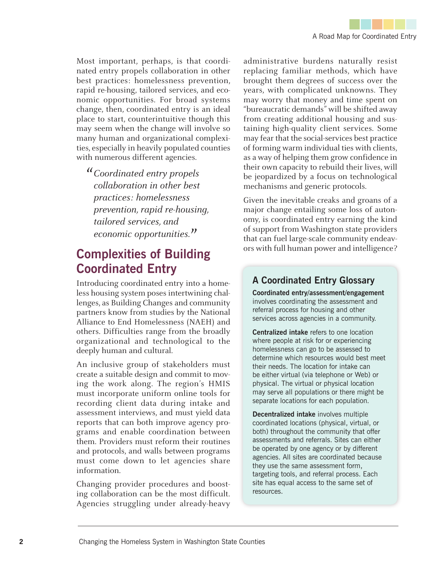Most important, perhaps, is that coordinated entry propels collaboration in other best practices: homelessness prevention, rapid re-housing, tailored services, and economic opportunities. For broad systems change, then, coordinated entry is an ideal place to start, counterintuitive though this may seem when the change will involve so many human and organizational complexities, especially in heavily populated counties with numerous different agencies.

 $\mu$ Coordinated entry propels collaboration in other best practices: homelessness prevention, rapid re-housing, tailored services, and economic opportunities."

### **Complexities of Building Coordinated Entry**

Introducing coordinated entry into a homeless housing system poses intertwining challenges, as Building Changes and community partners know from studies by the National Alliance to End Homelessness (NAEH) and others. Difficulties range from the broadly organizational and technological to the deeply human and cultural.

An inclusive group of stakeholders must create a suitable design and commit to moving the work along. The region's HMIS must incorporate uniform online tools for recording client data during intake and assessment interviews, and must yield data reports that can both improve agency programs and enable coordination between them. Providers must reform their routines and protocols, and walls between programs must come down to let agencies share information.

Changing provider procedures and boosting collaboration can be the most difficult. Agencies struggling under already-heavy administrative burdens naturally resist replacing familiar methods, which have brought them degrees of success over the years, with complicated unknowns. They may worry that money and time spent on "bureaucratic demands" will be shifted away from creating additional housing and sustaining high-quality client services. Some may fear that the social-services best practice of forming warm individual ties with clients, as a way of helping them grow confidence in their own capacity to rebuild their lives, will be jeopardized by a focus on technological mechanisms and generic protocols.

Given the inevitable creaks and groans of a major change entailing some loss of autonomy, is coordinated entry earning the kind of support from Washington state providers that can fuel large-scale community endeavors with full human power and intelligence?

### **A Coordinated Entry Glossary**

**Coordinated entry/assessment/engagement** involves coordinating the assessment and referral process for housing and other services across agencies in a community.

**Centralized intake** refers to one location where people at risk for or experiencing homelessness can go to be assessed to determine which resources would best meet their needs. The location for intake can be either virtual (via telephone or Web) or physical. The virtual or physical location may serve all populations or there might be separate locations for each population.

**Decentralized intake** involves multiple coordinated locations (physical, virtual, or both) throughout the community that offer assessments and referrals. Sites can either be operated by one agency or by different agencies. All sites are coordinated because they use the same assessment form, targeting tools, and referral process. Each site has equal access to the same set of resources.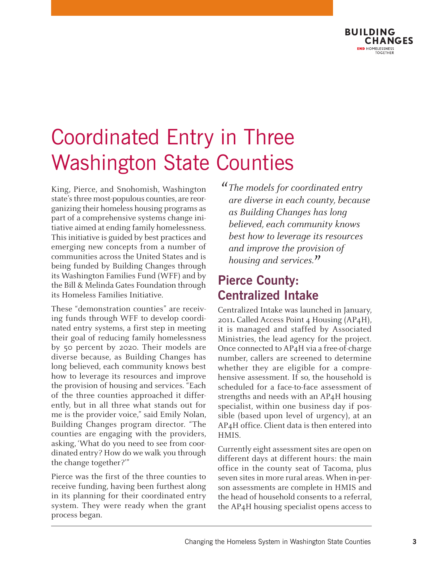

# Coordinated Entry in Three Washington State Counties

King, Pierce, and Snohomish, Washington state's three most-populous counties, are reorganizing their homeless housing programs as part of a comprehensive systems change initiative aimed at ending family homelessness. This initiative is guided by best practices and emerging new concepts from a number of communities across the United States and is being funded by Building Changes through its Washington Families Fund (WFF) and by the Bill & Melinda Gates Foundation through its Homeless Families Initiative.

These "demonstration counties" are receiving funds through WFF to develop coordinated entry systems, a first step in meeting their goal of reducing family homelessness by 50 percent by 2020. Their models are diverse because, as Building Changes has long believed, each community knows best how to leverage its resources and improve the provision of housing and services. "Each of the three counties approached it differently, but in all three what stands out for me is the provider voice," said Emily Nolan, Building Changes program director. "The counties are engaging with the providers, asking, 'What do you need to see from coordinated entry? How do we walk you through the change together?'"

Pierce was the first of the three counties to receive funding, having been furthest along in its planning for their coordinated entry system. They were ready when the grant process began.

 $\mu$ The models for coordinated entry are diverse in each county, because as Building Changes has long believed, each community knows best how to leverage its resources and improve the provision of housing and services."

### **Pierce County: Centralized Intake**

Centralized Intake was launched in January, 2011**.** Called Access Point 4 Housing (AP4H), it is managed and staffed by Associated Ministries, the lead agency for the project. Once connected to AP4H via a free-of-charge number, callers are screened to determine whether they are eligible for a comprehensive assessment. If so, the household is scheduled for a face-to-face assessment of strengths and needs with an AP4H housing specialist, within one business day if possible (based upon level of urgency), at an AP4H office. Client data is then entered into HMIS.

Currently eight assessment sites are open on different days at different hours: the main office in the county seat of Tacoma, plus seven sites in more rural areas. When in-person assessments are complete in HMIS and the head of household consents to a referral, the AP4H housing specialist opens access to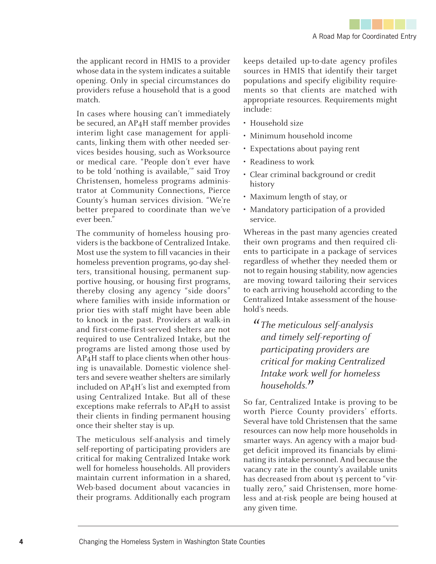the applicant record in HMIS to a provider whose data in the system indicates a suitable opening. Only in special circumstances do providers refuse a household that is a good match.

In cases where housing can't immediately be secured, an AP4H staff member provides interim light case management for applicants, linking them with other needed services besides housing, such as Worksource or medical care. "People don't ever have to be told 'nothing is available,'" said Troy Christensen, homeless programs administrator at Community Connections, Pierce County's human services division. "We're better prepared to coordinate than we've ever been."

The community of homeless housing providers is the backbone of Centralized Intake. Most use the system to fill vacancies in their homeless prevention programs, 90-day shelters, transitional housing, permanent supportive housing, or housing first programs, thereby closing any agency "side doors" where families with inside information or prior ties with staff might have been able to knock in the past. Providers at walk-in and first-come-first-served shelters are not required to use Centralized Intake, but the programs are listed among those used by AP4H staff to place clients when other housing is unavailable. Domestic violence shelters and severe weather shelters are similarly included on AP4H's list and exempted from using Centralized Intake. But all of these exceptions make referrals to AP4H to assist their clients in finding permanent housing once their shelter stay is up.

The meticulous self-analysis and timely self-reporting of participating providers are critical for making Centralized Intake work well for homeless households. All providers maintain current information in a shared, Web-based document about vacancies in their programs. Additionally each program keeps detailed up-to-date agency profiles sources in HMIS that identify their target populations and specify eligibility requirements so that clients are matched with appropriate resources. Requirements might include:

- Household size
- Minimum household income
- Expectations about paying rent
- Readiness to work
- Clear criminal background or credit history
- • Maximum length of stay, or
- Mandatory participation of a provided service.

Whereas in the past many agencies created their own programs and then required clients to participate in a package of services regardless of whether they needed them or not to regain housing stability, now agencies are moving toward tailoring their services to each arriving household according to the Centralized Intake assessment of the household's needs.

 $\mu$ The meticulous self-analysis and timely self-reporting of participating providers are critical for making Centralized Intake work well for homeless households."

So far, Centralized Intake is proving to be worth Pierce County providers' efforts. Several have told Christensen that the same resources can now help more households in smarter ways. An agency with a major budget deficit improved its financials by eliminating its intake personnel. And because the vacancy rate in the county's available units has decreased from about 15 percent to "virtually zero," said Christensen, more homeless and at-risk people are being housed at any given time.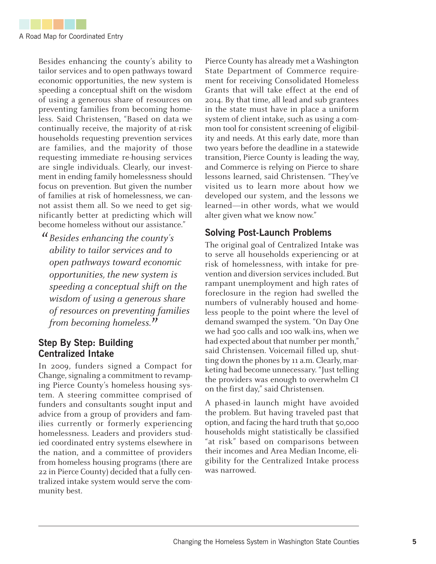

Besides enhancing the county's ability to tailor services and to open pathways toward economic opportunities, the new system is speeding a conceptual shift on the wisdom of using a generous share of resources on preventing families from becoming homeless. Said Christensen, "Based on data we continually receive, the majority of at-risk households requesting prevention services are families, and the majority of those requesting immediate re-housing services are single individuals. Clearly, our investment in ending family homelessness should focus on prevention. But given the number of families at risk of homelessness, we cannot assist them all. So we need to get significantly better at predicting which will become homeless without our assistance."

"Besides enhancing the county's ability to tailor services and to open pathways toward economic opportunities, the new system is speeding a conceptual shift on the wisdom of using a generous share of resources on preventing families from becoming homeless."

### **Step By Step: Building Centralized Intake**

In 2009, funders signed a Compact for Change, signaling a commitment to revamping Pierce County's homeless housing system. A steering committee comprised of funders and consultants sought input and advice from a group of providers and families currently or formerly experiencing homelessness. Leaders and providers studied coordinated entry systems elsewhere in the nation, and a committee of providers from homeless housing programs (there are 22 in Pierce County) decided that a fully centralized intake system would serve the community best.

Pierce County has already met a Washington State Department of Commerce requirement for receiving Consolidated Homeless Grants that will take effect at the end of 2014. By that time, all lead and sub grantees in the state must have in place a uniform system of client intake, such as using a common tool for consistent screening of eligibility and needs. At this early date, more than two years before the deadline in a statewide transition, Pierce County is leading the way, and Commerce is relying on Pierce to share lessons learned, said Christensen. "They've visited us to learn more about how we developed our system, and the lessons we learned—in other words, what we would alter given what we know now."

### **Solving Post-Launch Problems**

The original goal of Centralized Intake was to serve all households experiencing or at risk of homelessness, with intake for prevention and diversion services included. But rampant unemployment and high rates of foreclosure in the region had swelled the numbers of vulnerably housed and homeless people to the point where the level of demand swamped the system. "On Day One we had 500 calls and 100 walk-ins, when we had expected about that number per month," said Christensen. Voicemail filled up, shutting down the phones by 11 a.m. Clearly, marketing had become unnecessary. "Just telling the providers was enough to overwhelm CI on the first day," said Christensen.

A phased-in launch might have avoided the problem. But having traveled past that option, and facing the hard truth that 50,000 households might statistically be classified "at risk" based on comparisons between their incomes and Area Median Income, eligibility for the Centralized Intake process was narrowed.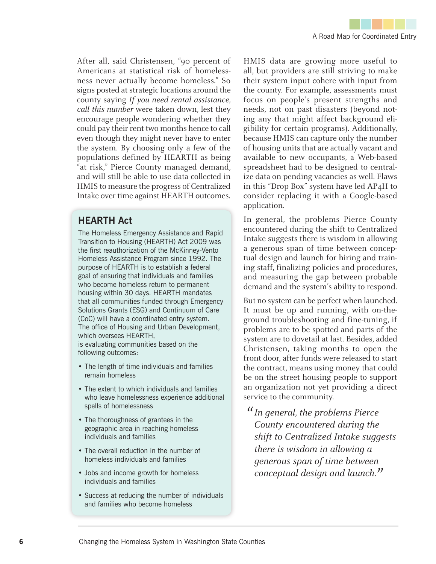After all, said Christensen, "90 percent of Americans at statistical risk of homelessness never actually become homeless." So signs posted at strategic locations around the county saying If you need rental assistance, call this number were taken down, lest they encourage people wondering whether they could pay their rent two months hence to call even though they might never have to enter the system. By choosing only a few of the populations defined by HEARTH as being "at risk," Pierce County managed demand, and will still be able to use data collected in HMIS to measure the progress of Centralized Intake over time against HEARTH outcomes.

### **HEARTH Act**

The Homeless Emergency Assistance and Rapid Transition to Housing (HEARTH) Act 2009 was the first reauthorization of the McKinney-Vento Homeless Assistance Program since 1992. The purpose of HEARTH is to establish a federal goal of ensuring that individuals and families who become homeless return to permanent housing within 30 days. HEARTH mandates that all communities funded through Emergency Solutions Grants (ESG) and Continuum of Care (CoC) will have a coordinated entry system. The office of Housing and Urban Development, which oversees HEARTH, is evaluating communities based on the following outcomes:

- The length of time individuals and families remain homeless
- The extent to which individuals and families who leave homelessness experience additional spells of homelessness
- The thoroughness of grantees in the geographic area in reaching homeless individuals and families
- The overall reduction in the number of homeless individuals and families
- Jobs and income growth for homeless individuals and families
- Success at reducing the number of individuals and families who become homeless

HMIS data are growing more useful to all, but providers are still striving to make their system input cohere with input from the county. For example, assessments must focus on people's present strengths and needs, not on past disasters (beyond noting any that might affect background eligibility for certain programs). Additionally, because HMIS can capture only the number of housing units that are actually vacant and available to new occupants, a Web-based spreadsheet had to be designed to centralize data on pending vacancies as well. Flaws in this "Drop Box" system have led AP4H to consider replacing it with a Google-based application.

In general, the problems Pierce County encountered during the shift to Centralized Intake suggests there is wisdom in allowing a generous span of time between conceptual design and launch for hiring and training staff, finalizing policies and procedures, and measuring the gap between probable demand and the system's ability to respond.

But no system can be perfect when launched. It must be up and running, with on-theground troubleshooting and fine-tuning, if problems are to be spotted and parts of the system are to dovetail at last. Besides, added Christensen, taking months to open the front door, after funds were released to start the contract, means using money that could be on the street housing people to support an organization not yet providing a direct service to the community.

 $\mu$  In general, the problems Pierce County encountered during the shift to Centralized Intake suggests there is wisdom in allowing a generous span of time between conceptual design and launch."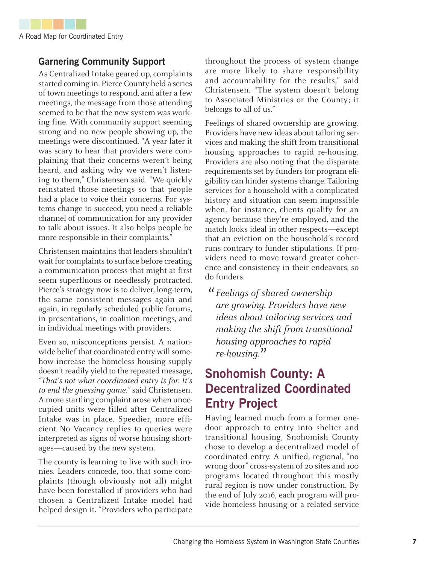### **Garnering Community Support**

As Centralized Intake geared up, complaints started coming in. Pierce County held a series of town meetings to respond, and after a few meetings, the message from those attending seemed to be that the new system was working fine. With community support seeming strong and no new people showing up, the meetings were discontinued. "A year later it was scary to hear that providers were complaining that their concerns weren't being heard, and asking why we weren't listening to them," Christensen said. "We quickly reinstated those meetings so that people had a place to voice their concerns. For systems change to succeed, you need a reliable channel of communication for any provider to talk about issues. It also helps people be more responsible in their complaints."

Christensen maintains that leaders shouldn't wait for complaints to surface before creating a communication process that might at first seem superfluous or needlessly protracted. Pierce's strategy now is to deliver, long-term, the same consistent messages again and again, in regularly scheduled public forums, in presentations, in coalition meetings, and in individual meetings with providers.

Even so, misconceptions persist. A nationwide belief that coordinated entry will somehow increase the homeless housing supply doesn't readily yield to the repeated message, "That's not what coordinated entry is for. It's to end the guessing game," said Christensen. A more startling complaint arose when unoccupied units were filled after Centralized Intake was in place. Speedier, more efficient No Vacancy replies to queries were interpreted as signs of worse housing shortages—caused by the new system.

The county is learning to live with such ironies. Leaders concede, too, that some complaints (though obviously not all) might have been forestalled if providers who had chosen a Centralized Intake model had helped design it. "Providers who participate

throughout the process of system change are more likely to share responsibility and accountability for the results," said Christensen. "The system doesn't belong to Associated Ministries or the County; it belongs to all of us."

Feelings of shared ownership are growing. Providers have new ideas about tailoring services and making the shift from transitional housing approaches to rapid re-housing. Providers are also noting that the disparate requirements set by funders for program eligibility can hinder systems change. Tailoring services for a household with a complicated history and situation can seem impossible when, for instance, clients qualify for an agency because they're employed, and the match looks ideal in other respects—except that an eviction on the household's record runs contrary to funder stipulations. If providers need to move toward greater coherence and consistency in their endeavors, so do funders.

 $\mu$  Feelings of shared ownership are growing. Providers have new ideas about tailoring services and making the shift from transitional housing approaches to rapid re-housing."

### **Snohomish County: A Decentralized Coordinated Entry Project**

Having learned much from a former onedoor approach to entry into shelter and transitional housing, Snohomish County chose to develop a decentralized model of coordinated entry. A unified, regional, "no wrong door" cross-system of 20 sites and 100 programs located throughout this mostly rural region is now under construction. By the end of July 2016, each program will provide homeless housing or a related service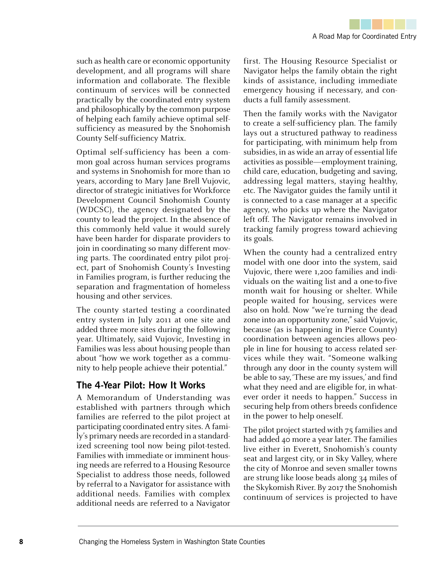such as health care or economic opportunity development, and all programs will share information and collaborate. The flexible continuum of services will be connected practically by the coordinated entry system and philosophically by the common purpose of helping each family achieve optimal selfsufficiency as measured by the Snohomish County Self-sufficiency Matrix.

Optimal self-sufficiency has been a common goal across human services programs and systems in Snohomish for more than 10 years, according to Mary Jane Brell Vujovic, director of strategic initiatives for Workforce Development Council Snohomish County (WDCSC), the agency designated by the county to lead the project. In the absence of this commonly held value it would surely have been harder for disparate providers to join in coordinating so many different moving parts. The coordinated entry pilot project, part of Snohomish County's Investing in Families program, is further reducing the separation and fragmentation of homeless housing and other services.

The county started testing a coordinated entry system in July 2011 at one site and added three more sites during the following year. Ultimately, said Vujovic, Investing in Families was less about housing people than about "how we work together as a community to help people achieve their potential."

### **The 4-Year Pilot: How It Works**

A Memorandum of Understanding was established with partners through which families are referred to the pilot project at participating coordinated entry sites. A family's primary needs are recorded in a standardized screening tool now being pilot-tested. Families with immediate or imminent housing needs are referred to a Housing Resource Specialist to address those needs, followed by referral to a Navigator for assistance with additional needs. Families with complex additional needs are referred to a Navigator

first. The Housing Resource Specialist or Navigator helps the family obtain the right kinds of assistance, including immediate emergency housing if necessary, and conducts a full family assessment.

Then the family works with the Navigator to create a self-sufficiency plan. The family lays out a structured pathway to readiness for participating, with minimum help from subsidies, in as wide an array of essential life activities as possible—employment training, child care, education, budgeting and saving, addressing legal matters, staying healthy, etc. The Navigator guides the family until it is connected to a case manager at a specific agency, who picks up where the Navigator left off. The Navigator remains involved in tracking family progress toward achieving its goals.

When the county had a centralized entry model with one door into the system, said Vujovic, there were 1,200 families and individuals on the waiting list and a one-to-five month wait for housing or shelter. While people waited for housing, services were also on hold. Now "we're turning the dead zone into an opportunity zone," said Vujovic, because (as is happening in Pierce County) coordination between agencies allows people in line for housing to access related services while they wait. "Someone walking through any door in the county system will be able to say, 'These are my issues,' and find what they need and are eligible for, in whatever order it needs to happen." Success in securing help from others breeds confidence in the power to help oneself.

The pilot project started with 75 families and had added 40 more a year later. The families live either in Everett, Snohomish's county seat and largest city, or in Sky Valley, where the city of Monroe and seven smaller towns are strung like loose beads along 34 miles of the Skykomish River. By 2017 the Snohomish continuum of services is projected to have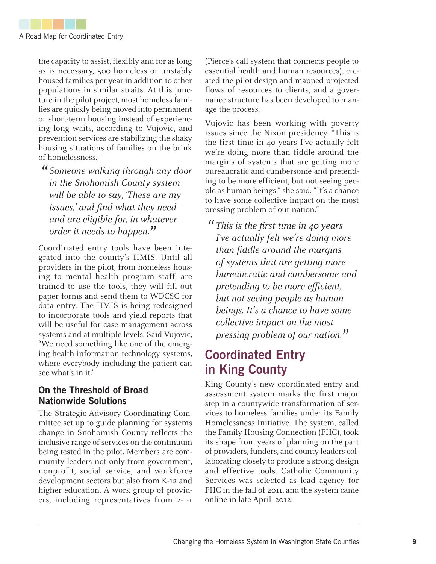A Road Map for Coordinated Entry

the capacity to assist, flexibly and for as long as is necessary, 500 homeless or unstably housed families per year in addition to other populations in similar straits. At this juncture in the pilot project, most homeless families are quickly being moved into permanent or short-term housing instead of experiencing long waits, according to Vujovic, and prevention services are stabilizing the shaky housing situations of families on the brink of homelessness.

"Someone walking through any door in the Snohomish County system will be able to say, 'These are my issues,' and find what they need and are eligible for, in whatever order it needs to happen."

Coordinated entry tools have been integrated into the county's HMIS. Until all providers in the pilot, from homeless housing to mental health program staff, are trained to use the tools, they will fill out paper forms and send them to WDCSC for data entry. The HMIS is being redesigned to incorporate tools and yield reports that will be useful for case management across systems and at multiple levels. Said Vujovic, "We need something like one of the emerging health information technology systems, where everybody including the patient can see what's in it."

### **On the Threshold of Broad Nationwide Solutions**

The Strategic Advisory Coordinating Committee set up to guide planning for systems change in Snohomish County reflects the inclusive range of services on the continuum being tested in the pilot. Members are community leaders not only from government, nonprofit, social service, and workforce development sectors but also from K-12 and higher education. A work group of providers, including representatives from 2-1-1

(Pierce's call system that connects people to essential health and human resources), created the pilot design and mapped projected flows of resources to clients, and a governance structure has been developed to manage the process.

Vujovic has been working with poverty issues since the Nixon presidency. "This is the first time in 40 years I've actually felt we're doing more than fiddle around the margins of systems that are getting more bureaucratic and cumbersome and pretending to be more efficient, but not seeing people as human beings," she said. "It's a chance to have some collective impact on the most pressing problem of our nation."

 $\mu$ This is the first time in 40 years I've actually felt we're doing more than fiddle around the margins of systems that are getting more bureaucratic and cumbersome and pretending to be more efficient, but not seeing people as human beings. It's a chance to have some collective impact on the most pressing problem of our nation."

### **Coordinated Entry in King County**

King County's new coordinated entry and assessment system marks the first major step in a countywide transformation of services to homeless families under its Family Homelessness Initiative. The system, called the Family Housing Connection (FHC), took its shape from years of planning on the part of providers, funders, and county leaders collaborating closely to produce a strong design and effective tools. Catholic Community Services was selected as lead agency for FHC in the fall of 2011, and the system came online in late April, 2012.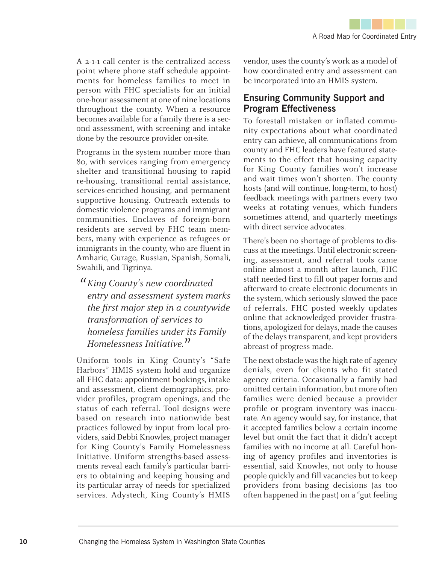A 2-1-1 call center is the centralized access point where phone staff schedule appointments for homeless families to meet in person with FHC specialists for an initial one-hour assessment at one of nine locations throughout the county. When a resource becomes available for a family there is a second assessment, with screening and intake done by the resource provider on-site.

Programs in the system number more than 80, with services ranging from emergency shelter and transitional housing to rapid re-housing, transitional rental assistance, services-enriched housing, and permanent supportive housing. Outreach extends to domestic violence programs and immigrant communities. Enclaves of foreign-born residents are served by FHC team members, many with experience as refugees or immigrants in the county, who are fluent in Amharic, Gurage, Russian, Spanish, Somali, Swahili, and Tigrinya.

### $\mu$ King County's new coordinated entry and assessment system marks the first major step in a countywide transformation of services to homeless families under its Family Homelessness Initiative."

Uniform tools in King County's "Safe Harbors" HMIS system hold and organize all FHC data: appointment bookings, intake and assessment, client demographics, provider profiles, program openings, and the status of each referral. Tool designs were based on research into nationwide best practices followed by input from local providers, said Debbi Knowles, project manager for King County's Family Homelessness Initiative. Uniform strengths-based assessments reveal each family's particular barriers to obtaining and keeping housing and its particular array of needs for specialized services. Adystech, King County's HMIS vendor, uses the county's work as a model of how coordinated entry and assessment can be incorporated into an HMIS system.

### **Ensuring Community Support and Program Effectiveness**

To forestall mistaken or inflated community expectations about what coordinated entry can achieve, all communications from county and FHC leaders have featured statements to the effect that housing capacity for King County families won't increase and wait times won't shorten. The county hosts (and will continue, long-term, to host) feedback meetings with partners every two weeks at rotating venues, which funders sometimes attend, and quarterly meetings with direct service advocates.

There's been no shortage of problems to discuss at the meetings. Until electronic screening, assessment, and referral tools came online almost a month after launch, FHC staff needed first to fill out paper forms and afterward to create electronic documents in the system, which seriously slowed the pace of referrals. FHC posted weekly updates online that acknowledged provider frustrations, apologized for delays, made the causes of the delays transparent, and kept providers abreast of progress made.

The next obstacle was the high rate of agency denials, even for clients who fit stated agency criteria. Occasionally a family had omitted certain information, but more often families were denied because a provider profile or program inventory was inaccurate. An agency would say, for instance, that it accepted families below a certain income level but omit the fact that it didn't accept families with no income at all. Careful honing of agency profiles and inventories is essential, said Knowles, not only to house people quickly and fill vacancies but to keep providers from basing decisions (as too often happened in the past) on a "gut feeling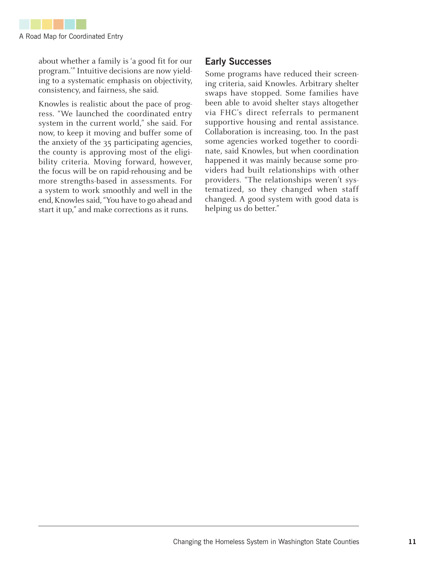about whether a family is 'a good fit for our program.'" Intuitive decisions are now yielding to a systematic emphasis on objectivity, consistency, and fairness, she said.

Knowles is realistic about the pace of progress. "We launched the coordinated entry system in the current world," she said. For now, to keep it moving and buffer some of the anxiety of the 35 participating agencies, the county is approving most of the eligibility criteria. Moving forward, however, the focus will be on rapid-rehousing and be more strengths-based in assessments. For a system to work smoothly and well in the end, Knowles said, "You have to go ahead and start it up," and make corrections as it runs.

### **Early Successes**

Some programs have reduced their screening criteria, said Knowles. Arbitrary shelter swaps have stopped. Some families have been able to avoid shelter stays altogether via FHC's direct referrals to permanent supportive housing and rental assistance. Collaboration is increasing, too. In the past some agencies worked together to coordinate, said Knowles, but when coordination happened it was mainly because some providers had built relationships with other providers. "The relationships weren't systematized, so they changed when staff changed. A good system with good data is helping us do better."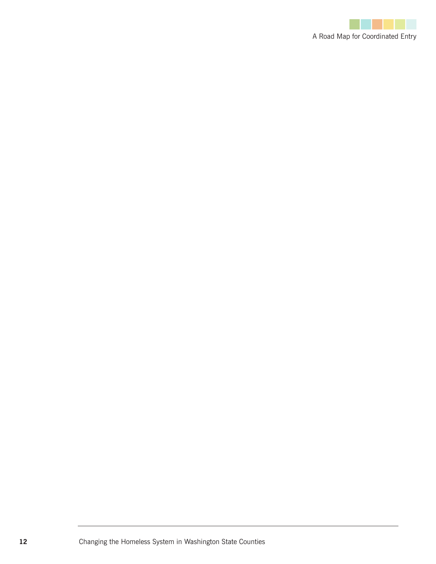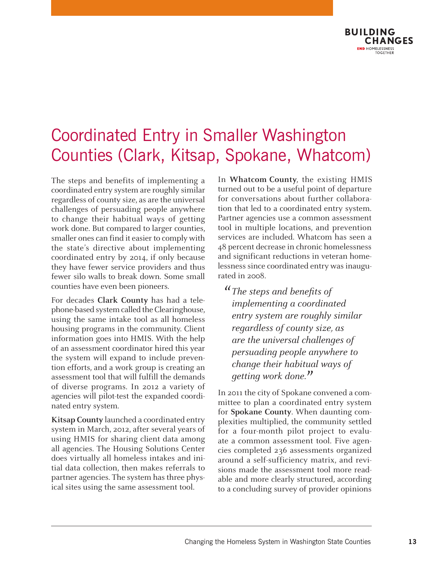## Coordinated Entry in Smaller Washington Counties (Clark, Kitsap, Spokane, Whatcom)

The steps and benefits of implementing a coordinated entry system are roughly similar regardless of county size, as are the universal challenges of persuading people anywhere to change their habitual ways of getting work done. But compared to larger counties, smaller ones can find it easier to comply with the state's directive about implementing coordinated entry by 2014, if only because they have fewer service providers and thus fewer silo walls to break down. Some small counties have even been pioneers.

For decades **Clark County** has had a telephone-based system called the Clearinghouse, using the same intake tool as all homeless housing programs in the community. Client information goes into HMIS. With the help of an assessment coordinator hired this year the system will expand to include prevention efforts, and a work group is creating an assessment tool that will fulfill the demands of diverse programs. In 2012 a variety of agencies will pilot-test the expanded coordinated entry system.

**Kitsap County** launched a coordinated entry system in March, 2012, after several years of using HMIS for sharing client data among all agencies. The Housing Solutions Center does virtually all homeless intakes and initial data collection, then makes referrals to partner agencies. The system has three physical sites using the same assessment tool.

In **Whatcom County**, the existing HMIS turned out to be a useful point of departure for conversations about further collaboration that led to a coordinated entry system. Partner agencies use a common assessment tool in multiple locations, and prevention services are included. Whatcom has seen a 48 percent decrease in chronic homelessness and significant reductions in veteran homelessness since coordinated entry was inaugurated in 2008.

 $\mu$ The steps and benefits of implementing a coordinated entry system are roughly similar regardless of county size, as are the universal challenges of persuading people anywhere to change their habitual ways of getting work done."

In 2011 the city of Spokane convened a committee to plan a coordinated entry system for **Spokane County**. When daunting complexities multiplied, the community settled for a four-month pilot project to evaluate a common assessment tool. Five agencies completed 236 assessments organized around a self-sufficiency matrix, and revisions made the assessment tool more readable and more clearly structured, according to a concluding survey of provider opinions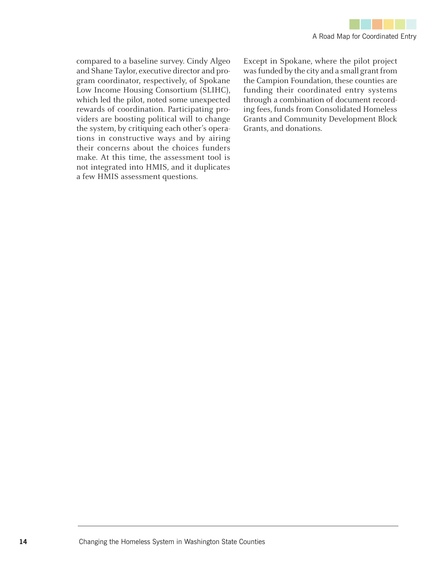compared to a baseline survey. Cindy Algeo and Shane Taylor, executive director and program coordinator, respectively, of Spokane Low Income Housing Consortium (SLIHC), which led the pilot, noted some unexpected rewards of coordination. Participating providers are boosting political will to change the system, by critiquing each other's operations in constructive ways and by airing their concerns about the choices funders make. At this time, the assessment tool is not integrated into HMIS, and it duplicates a few HMIS assessment questions.

Except in Spokane, where the pilot project was funded by the city and a small grant from the Campion Foundation, these counties are funding their coordinated entry systems through a combination of document recording fees, funds from Consolidated Homeless Grants and Community Development Block Grants, and donations.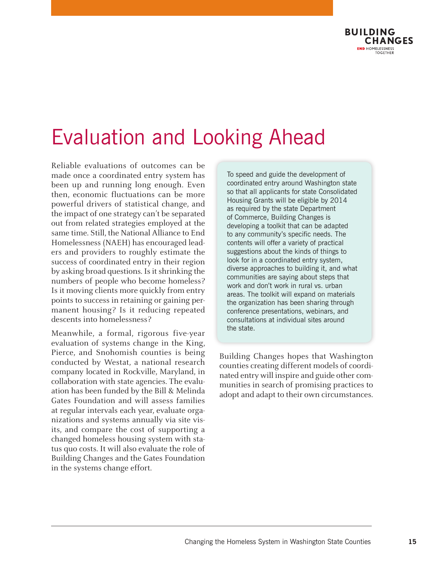

## Evaluation and Looking Ahead

Reliable evaluations of outcomes can be made once a coordinated entry system has been up and running long enough. Even then, economic fluctuations can be more powerful drivers of statistical change, and the impact of one strategy can't be separated out from related strategies employed at the same time. Still, the National Alliance to End Homelessness (NAEH) has encouraged leaders and providers to roughly estimate the success of coordinated entry in their region by asking broad questions. Is it shrinking the numbers of people who become homeless? Is it moving clients more quickly from entry points to success in retaining or gaining permanent housing? Is it reducing repeated descents into homelessness?

Meanwhile, a formal, rigorous five-year evaluation of systems change in the King, Pierce, and Snohomish counties is being conducted by Westat, a national research company located in Rockville, Maryland, in collaboration with state agencies. The evaluation has been funded by the Bill & Melinda Gates Foundation and will assess families at regular intervals each year, evaluate organizations and systems annually via site visits, and compare the cost of supporting a changed homeless housing system with status quo costs. It will also evaluate the role of Building Changes and the Gates Foundation in the systems change effort.

To speed and guide the development of coordinated entry around Washington state so that all applicants for state Consolidated Housing Grants will be eligible by 2014 as required by the state Department of Commerce, Building Changes is developing a toolkit that can be adapted to any community's specific needs. The contents will offer a variety of practical suggestions about the kinds of things to look for in a coordinated entry system, diverse approaches to building it, and what communities are saying about steps that work and don't work in rural vs. urban areas. The toolkit will expand on materials the organization has been sharing through conference presentations, webinars, and consultations at individual sites around the state.

Building Changes hopes that Washington counties creating different models of coordinated entry will inspire and guide other communities in search of promising practices to adopt and adapt to their own circumstances.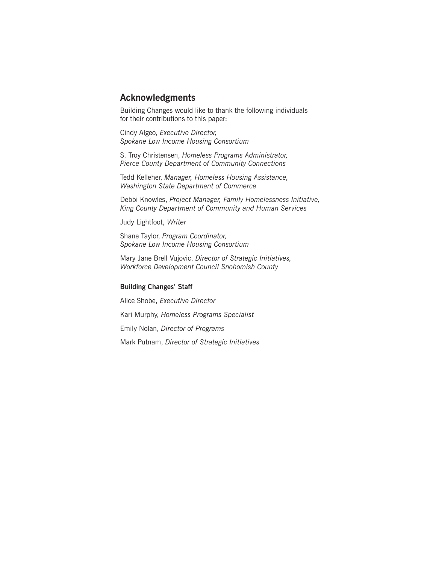#### **Acknowledgments**

Building Changes would like to thank the following individuals for their contributions to this paper:

Cindy Algeo, *Executive Director, Spokane Low Income Housing Consortium*

S. Troy Christensen, *Homeless Programs Administrator, Pierce County Department of Community Connections*

Tedd Kelleher, *Manager, Homeless Housing Assistance, Washington State Department of Commerce*

Debbi Knowles, *Project Manager, Family Homelessness Initiative, King County Department of Community and Human Services*

Judy Lightfoot, *Writer*

Shane Taylor, *Program Coordinator, Spokane Low Income Housing Consortium*

Mary Jane Brell Vujovic, *Director of Strategic Initiatives, Workforce Development Council Snohomish County* 

#### **Building Changes' Staff**

Alice Shobe, *Executive Director* Kari Murphy, *Homeless Programs Specialist* Emily Nolan, *Director of Programs* Mark Putnam, *Director of Strategic Initiatives*